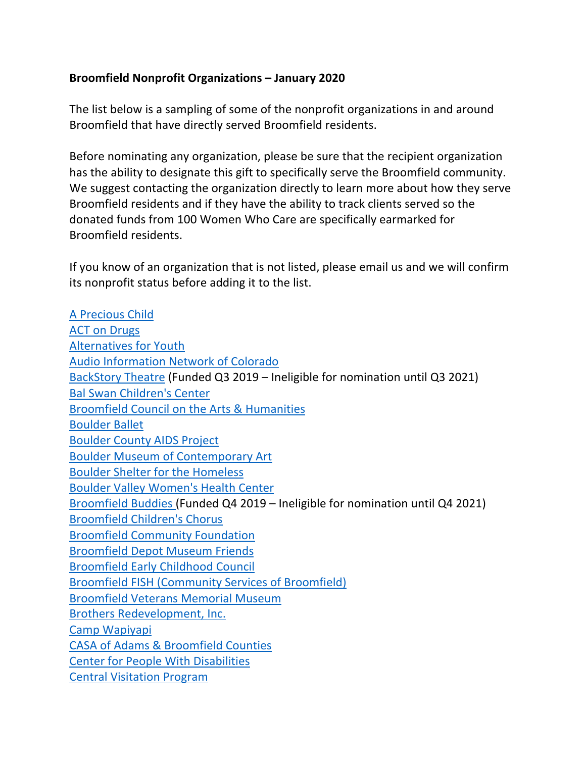## **Broomfield Nonprofit Organizations – January 2020**

The list below is a sampling of some of the nonprofit organizations in and around Broomfield that have directly served Broomfield residents.

Before nominating any organization, please be sure that the recipient organization has the ability to designate this gift to specifically serve the Broomfield community. We suggest contacting the organization directly to learn more about how they serve Broomfield residents and if they have the ability to track clients served so the donated funds from 100 Women Who Care are specifically earmarked for Broomfield residents.

If you know of an organization that is not listed, please email us and we will confirm its nonprofit status before adding it to the list.

A Precious Child ACT on Drugs Alternatives for Youth Audio Information Network of Colorado BackStory Theatre (Funded Q3 2019 – Ineligible for nomination until Q3 2021) Bal Swan Children's Center Broomfield Council on the Arts & Humanities Boulder Ballet Boulder County AIDS Project Boulder Museum of Contemporary Art Boulder Shelter for the Homeless Boulder Valley Women's Health Center Broomfield Buddies (Funded Q4 2019 – Ineligible for nomination until Q4 2021) Broomfield Children's Chorus Broomfield Community Foundation Broomfield Depot Museum Friends Broomfield Early Childhood Council Broomfield FISH (Community Services of Broomfield) Broomfield Veterans Memorial Museum Brothers Redevelopment, Inc. Camp Wapiyapi CASA of Adams & Broomfield Counties Center for People With Disabilities Central Visitation Program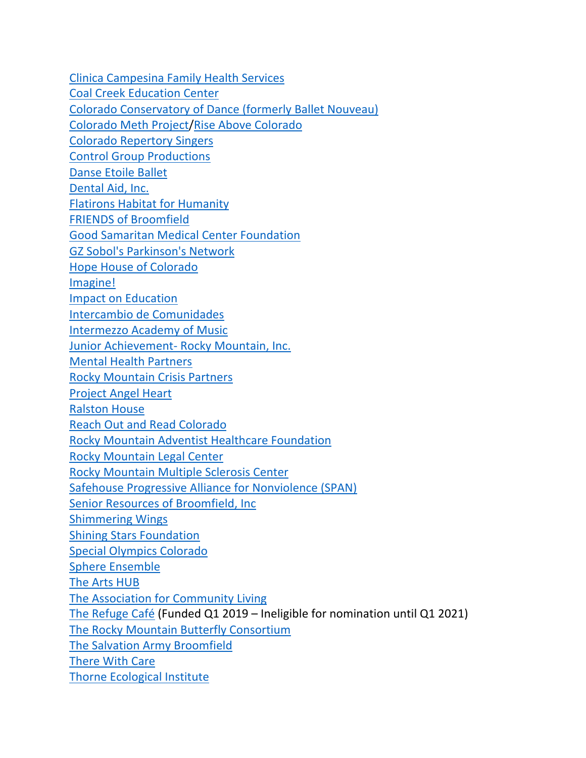Clinica Campesina Family Health Services Coal Creek Education Center Colorado Conservatory of Dance (formerly Ballet Nouveau) Colorado Meth Project/Rise Above Colorado Colorado Repertory Singers Control Group Productions Danse Etoile Ballet Dental Aid, Inc. Flatirons Habitat for Humanity FRIENDS of Broomfield Good Samaritan Medical Center Foundation GZ Sobol's Parkinson's Network Hope House of Colorado Imagine! Impact on Education Intercambio de Comunidades Intermezzo Academy of Music Junior Achievement- Rocky Mountain, Inc. Mental Health Partners Rocky Mountain Crisis Partners Project Angel Heart Ralston House Reach Out and Read Colorado Rocky Mountain Adventist Healthcare Foundation Rocky Mountain Legal Center Rocky Mountain Multiple Sclerosis Center Safehouse Progressive Alliance for Nonviolence (SPAN) Senior Resources of Broomfield, Inc Shimmering Wings Shining Stars Foundation Special Olympics Colorado Sphere Ensemble The Arts HUB The Association for Community Living The Refuge Café (Funded Q1 2019 – Ineligible for nomination until Q1 2021) The Rocky Mountain Butterfly Consortium The Salvation Army Broomfield There With Care Thorne Ecological Institute